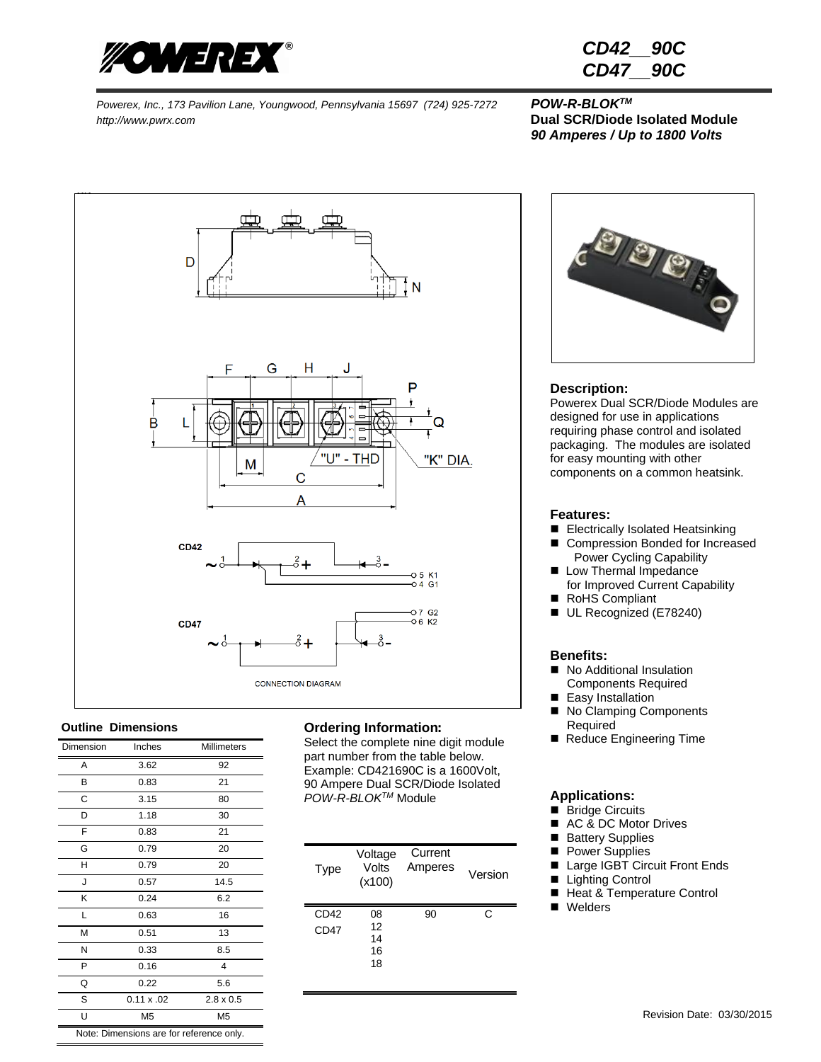

| CD42 | <b>90C</b> |
|------|------------|
| CD47 | <b>90C</b> |

## *90 Amperes / Up to 1800 Volts*



#### **Outline Dimensions**

| Dimension                                | Inches            | <b>Millimeters</b> |  |
|------------------------------------------|-------------------|--------------------|--|
| A                                        | 3.62              | 92                 |  |
| В                                        | 0.83              | 21                 |  |
| C                                        | 3.15              | 80                 |  |
| D                                        | 1.18              | 30                 |  |
| F                                        | 0.83              | 21                 |  |
| G                                        | 0.79              | 20                 |  |
| H                                        | 0.79              | 20                 |  |
| J                                        | 0.57              | 14.5               |  |
| Κ                                        | 0.24              | 6.2                |  |
| Г                                        | 0.63              | 16                 |  |
| M                                        | 0.51              | 13                 |  |
| N                                        | 0.33              | 8.5                |  |
| P                                        | 0.16              | 4                  |  |
| Q                                        | 0.22              | 5.6                |  |
| S                                        | $0.11 \times .02$ | $2.8 \times 0.5$   |  |
| Ù                                        | M <sub>5</sub>    | M <sub>5</sub>     |  |
| Note: Dimensions are for reference only. |                   |                    |  |

#### **Ordering Information**:

Select the complete nine digit module part number from the table below. Example: CD421690C is a 1600Volt, 90 Ampere Dual SCR/Diode Isolated *POW-R-BLOKTM* Module

| <b>Type</b>  | Voltage<br>Volts<br>(x100) | Current<br>Amperes | Version |
|--------------|----------------------------|--------------------|---------|
| CD42<br>CD47 | 08<br>12<br>14<br>16<br>18 | 90                 | C       |



#### **Description:**

Powerex Dual SCR/Diode Modules are designed for use in applications requiring phase control and isolated packaging. The modules are isolated for easy mounting with other components on a common heatsink.

#### **Features:**

- Electrically Isolated Heatsinking
- Compression Bonded for Increased Power Cycling Capability
- **Low Thermal Impedance** for Improved Current Capability
- RoHS Compliant
- UL Recognized (E78240)

#### **Benefits:**

- No Additional Insulation Components Required
- Easy Installation
- No Clamping Components Required
- Reduce Engineering Time

#### **Applications:**

- **Bridge Circuits**
- AC & DC Motor Drives
- **Battery Supplies**
- **Power Supplies**
- Large IGBT Circuit Front Ends
- Lighting Control
- Heat & Temperature Control
- **Nelders**

Note: Dimensions are for reference only.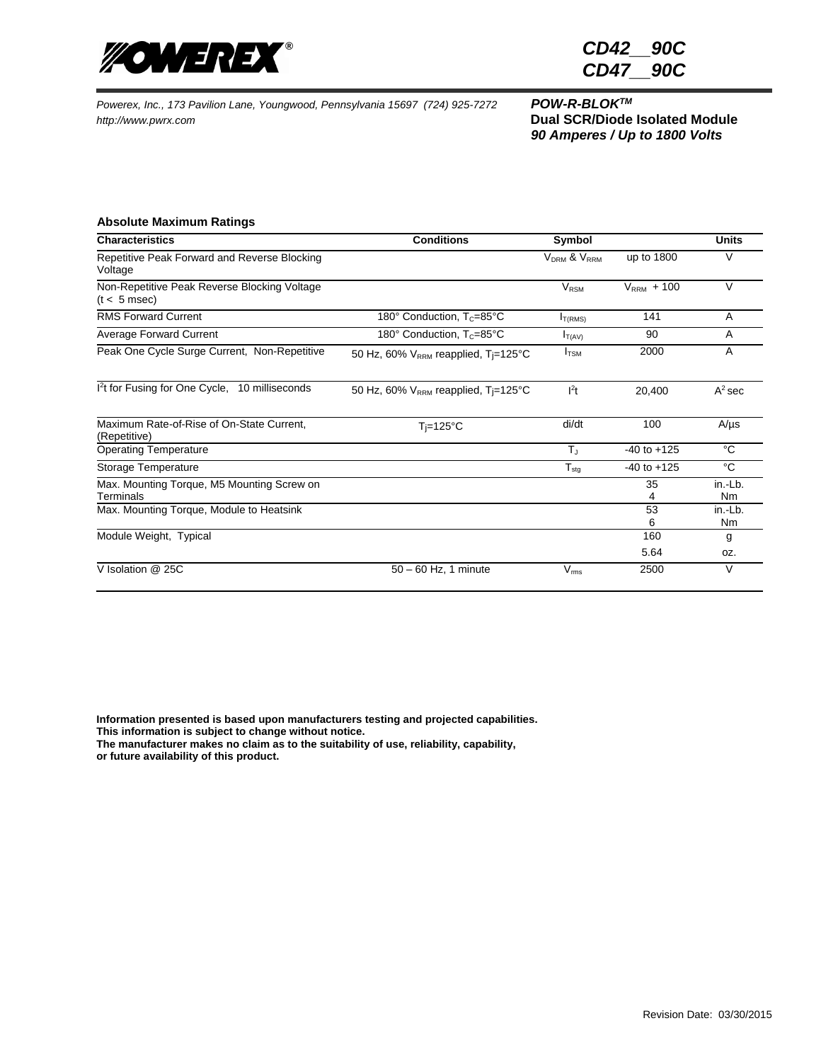

*CD42\_\_90C CD47\_\_90C*

*90 Amperes / Up to 1800 Volts*

#### **Absolute Maximum Ratings**

| <b>Characteristics</b>                                         | <b>Conditions</b>                                            | Symbol                              |                 | <b>Units</b>         |
|----------------------------------------------------------------|--------------------------------------------------------------|-------------------------------------|-----------------|----------------------|
| Repetitive Peak Forward and Reverse Blocking<br>Voltage        |                                                              | V <sub>DRM</sub> & V <sub>RRM</sub> | up to 1800      | V                    |
| Non-Repetitive Peak Reverse Blocking Voltage<br>$(t < 5$ msec) |                                                              | $V_{\rm RSM}$                       | $V_{RRM}$ + 100 | $\vee$               |
| <b>RMS Forward Current</b>                                     | 180 $^{\circ}$ Conduction, T <sub>c</sub> =85 $^{\circ}$ C   | I <sub>T(RMS)</sub>                 | 141             | A                    |
| <b>Average Forward Current</b>                                 | 180 $^{\circ}$ Conduction, T <sub>c</sub> =85 $^{\circ}$ C   | $I_{T(AV)}$                         | 90              | A                    |
| Peak One Cycle Surge Current, Non-Repetitive                   | 50 Hz, 60% V <sub>RRM</sub> reapplied, T <sub>j</sub> =125°C | $I_{TSM}$                           | 2000            | A                    |
| 1 <sup>2</sup> t for Fusing for One Cycle, 10 milliseconds     | 50 Hz, 60% $V_{RRM}$ reapplied, T <sub>i</sub> =125°C        | $l^2t$                              | 20,400          | $A^2$ sec            |
| Maximum Rate-of-Rise of On-State Current,<br>(Repetitive)      | $T = 125^{\circ}C$                                           | di/dt                               | 100             | $A/\mu s$            |
| <b>Operating Temperature</b>                                   |                                                              | $T_{\rm d}$                         | $-40$ to $+125$ | $^{\circ}C$          |
| Storage Temperature                                            |                                                              | $T_{\text{stg}}$                    | $-40$ to $+125$ | $^{\circ}C$          |
| Max. Mounting Torque, M5 Mounting Screw on<br>Terminals        |                                                              |                                     | 35<br>4         | in.-Lb.<br><b>Nm</b> |
| Max. Mounting Torque, Module to Heatsink                       |                                                              |                                     | 53              | in.-Lb.              |
|                                                                |                                                              |                                     | 6               | Nm                   |
| Module Weight, Typical                                         |                                                              |                                     | 160             | g                    |
|                                                                |                                                              |                                     | 5.64            | OZ.                  |
| V Isolation @ 25C                                              | $50 - 60$ Hz, 1 minute                                       | $V_{\rm rms}$                       | 2500            | V                    |

**Information presented is based upon manufacturers testing and projected capabilities. This information is subject to change without notice.**

**The manufacturer makes no claim as to the suitability of use, reliability, capability, or future availability of this product.**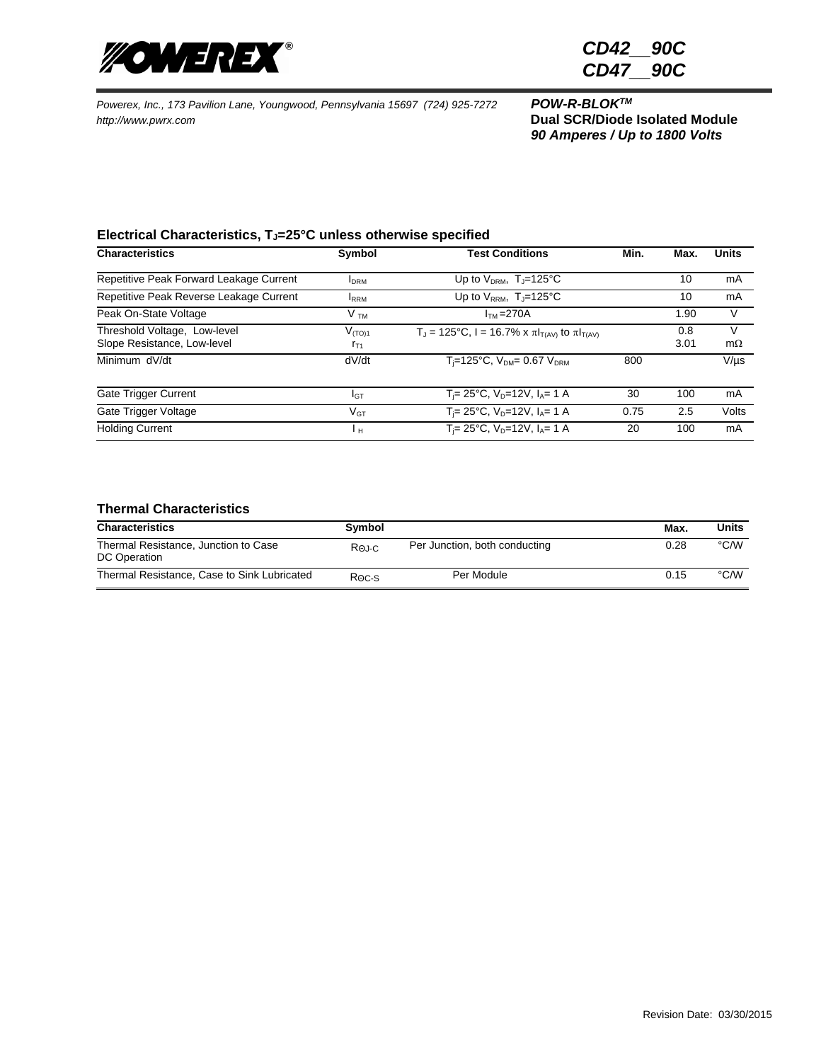

*90 Amperes / Up to 1800 Volts*

#### **Electrical Characteristics, TJ=25°C unless otherwise specified**

| <b>Characteristics</b>                                      | Symbol                  | <b>Test Conditions</b>                                    | Min. | Max.        | <b>Units</b>   |
|-------------------------------------------------------------|-------------------------|-----------------------------------------------------------|------|-------------|----------------|
| Repetitive Peak Forward Leakage Current                     | <b>I</b> DRM            | Up to $V_{DRM}$ , T <sub>J</sub> =125°C                   |      | 10          | mA             |
| Repetitive Peak Reverse Leakage Current                     | <b>IRRM</b>             | Up to $V_{RRM}$ , T <sub>J</sub> =125°C                   |      | 10          | mA             |
| Peak On-State Voltage                                       | V <sub>TM</sub>         | $ITM = 270A$                                              |      | 1.90        | V              |
| Threshold Voltage, Low-level<br>Slope Resistance, Low-level | $V_{(TO)1}$<br>$r_{T1}$ | $T_J$ = 125°C, I = 16.7% x π $I_{T(AV)}$ to π $I_{T(AV)}$ |      | 0.8<br>3.01 | V<br>$m\Omega$ |
| Minimum dV/dt                                               | dV/dt                   | $T_i = 125$ °C, $V_{DM} = 0.67 V_{DRM}$                   | 800  |             | $V/\mu s$      |
| Gate Trigger Current                                        | IGТ                     | $T_i = 25^{\circ}C$ , $V_D = 12V$ , $I_A = 1$ A           | 30   | 100         | mA             |
| Gate Trigger Voltage                                        | $V_{GT}$                | $T_i = 25^{\circ}C$ , $V_D = 12V$ , $I_A = 1$ A           | 0.75 | 2.5         | Volts          |
| <b>Holding Current</b>                                      | Ιн                      | $T_i = 25^{\circ}C$ , $V_D = 12V$ , $I_A = 1$ A           | 20   | 100         | mA             |

### **Thermal Characteristics**

| <b>Characteristics</b>                               | Symbol  |                               | Max. | Units |
|------------------------------------------------------|---------|-------------------------------|------|-------|
| Thermal Resistance, Junction to Case<br>DC Operation | Roj-C   | Per Junction, both conducting | 0.28 | °C/W  |
| Thermal Resistance, Case to Sink Lubricated          | $R0c-s$ | Per Module                    | 0.15 | °C/W  |